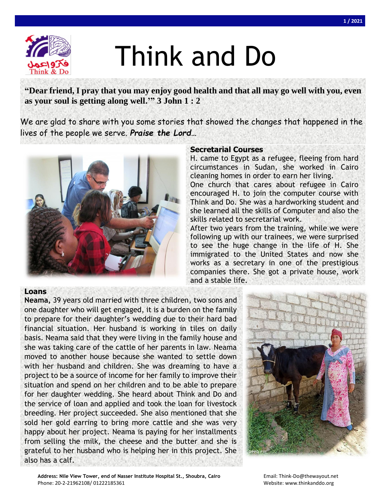

# Think and Do

**"Dear friend, I pray that you may enjoy good health and that all may go well with you, even as your soul is getting along well.'" 3 John 1 : 2**

We are glad to share with you some stories that showed the changes that happened in the lives of the people we serve. *Praise the Lord…*



## **Secretarial Courses**

H. came to Egypt as a refugee, fleeing from hard circumstances in Sudan, she worked in Cairo cleaning homes in order to earn her living.

One church that cares about refugee in Cairo encouraged H. to join the computer course with Think and Do. She was a hardworking student and she learned all the skills of Computer and also the skills related to secretarial work.

After two years from the training, while we were following up with our trainees, we were surprised to see the huge change in the life of H. She immigrated to the United States and now she works as a secretary in one of the prestigious companies there. She got a private house, work and a stable life.

## **Loans**

**Neama,** 39 years old married with three children, two sons and one daughter who will get engaged, it is a burden on the family to prepare for their daughter's wedding due to their hard bad financial situation. Her husband is working in tiles on daily basis. Neama said that they were living in the family house and she was taking care of the cattle of her parents in law. Neama moved to another house because she wanted to settle down with her husband and children. She was dreaming to have a project to be a source of income for her family to improve their situation and spend on her children and to be able to prepare for her daughter wedding. She heard about Think and Do and the service of loan and applied and took the loan for livestock breeding. Her project succeeded. She also mentioned that she sold her gold earring to bring more cattle and she was very happy about her project. Neama is paying for her installments from selling the milk, the cheese and the butter and she is grateful to her husband who is helping her in this project. She also has a calf.



Address: Nile View Tower, end of Nasser Institute Hospital St., Shoubra, Cairo **Email: Think-Do@thewayout.net** Phone: 20-2-21962108/ 01222185361 Website: www.thinkanddo.org